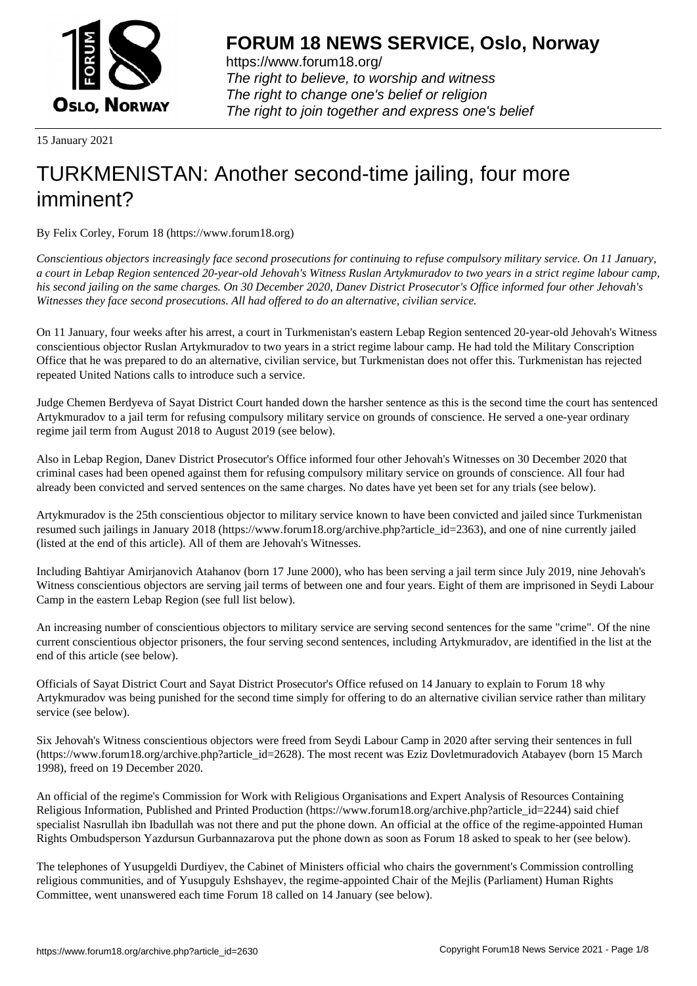

https://www.forum18.org/ The right to believe, to worship and witness The right to change one's belief or religion [The right to join together a](https://www.forum18.org/)nd express one's belief

15 January 2021

# [TURKMENISTA](https://www.forum18.org)N: Another second-time jailing, four more imminent?

By Felix Corley, Forum 18 (https://www.forum18.org)

*Conscientious objectors increasingly face second prosecutions for continuing to refuse compulsory military service. On 11 January, a court in Lebap Region sentenced 20-year-old Jehovah's Witness Ruslan Artykmuradov to two years in a strict regime labour camp, his second jailing on the same charges. On 30 December 2020, Danev District Prosecutor's Office informed four other Jehovah's Witnesses they face second prosecutions. All had offered to do an alternative, civilian service.*

On 11 January, four weeks after his arrest, a court in Turkmenistan's eastern Lebap Region sentenced 20-year-old Jehovah's Witness conscientious objector Ruslan Artykmuradov to two years in a strict regime labour camp. He had told the Military Conscription Office that he was prepared to do an alternative, civilian service, but Turkmenistan does not offer this. Turkmenistan has rejected repeated United Nations calls to introduce such a service.

Judge Chemen Berdyeva of Sayat District Court handed down the harsher sentence as this is the second time the court has sentenced Artykmuradov to a jail term for refusing compulsory military service on grounds of conscience. He served a one-year ordinary regime jail term from August 2018 to August 2019 (see below).

Also in Lebap Region, Danev District Prosecutor's Office informed four other Jehovah's Witnesses on 30 December 2020 that criminal cases had been opened against them for refusing compulsory military service on grounds of conscience. All four had already been convicted and served sentences on the same charges. No dates have yet been set for any trials (see below).

Artykmuradov is the 25th conscientious objector to military service known to have been convicted and jailed since Turkmenistan resumed such jailings in January 2018 (https://www.forum18.org/archive.php?article\_id=2363), and one of nine currently jailed (listed at the end of this article). All of them are Jehovah's Witnesses.

Including Bahtiyar Amirjanovich Atahanov (born 17 June 2000), who has been serving a jail term since July 2019, nine Jehovah's Witness conscientious objectors are serving jail terms of between one and four years. Eight of them are imprisoned in Seydi Labour Camp in the eastern Lebap Region (see full list below).

An increasing number of conscientious objectors to military service are serving second sentences for the same "crime". Of the nine current conscientious objector prisoners, the four serving second sentences, including Artykmuradov, are identified in the list at the end of this article (see below).

Officials of Sayat District Court and Sayat District Prosecutor's Office refused on 14 January to explain to Forum 18 why Artykmuradov was being punished for the second time simply for offering to do an alternative civilian service rather than military service (see below).

Six Jehovah's Witness conscientious objectors were freed from Seydi Labour Camp in 2020 after serving their sentences in full (https://www.forum18.org/archive.php?article\_id=2628). The most recent was Eziz Dovletmuradovich Atabayev (born 15 March 1998), freed on 19 December 2020.

An official of the regime's Commission for Work with Religious Organisations and Expert Analysis of Resources Containing Religious Information, Published and Printed Production (https://www.forum18.org/archive.php?article\_id=2244) said chief specialist Nasrullah ibn Ibadullah was not there and put the phone down. An official at the office of the regime-appointed Human Rights Ombudsperson Yazdursun Gurbannazarova put the phone down as soon as Forum 18 asked to speak to her (see below).

The telephones of Yusupgeldi Durdiyev, the Cabinet of Ministers official who chairs the government's Commission controlling religious communities, and of Yusupguly Eshshayev, the regime-appointed Chair of the Mejlis (Parliament) Human Rights Committee, went unanswered each time Forum 18 called on 14 January (see below).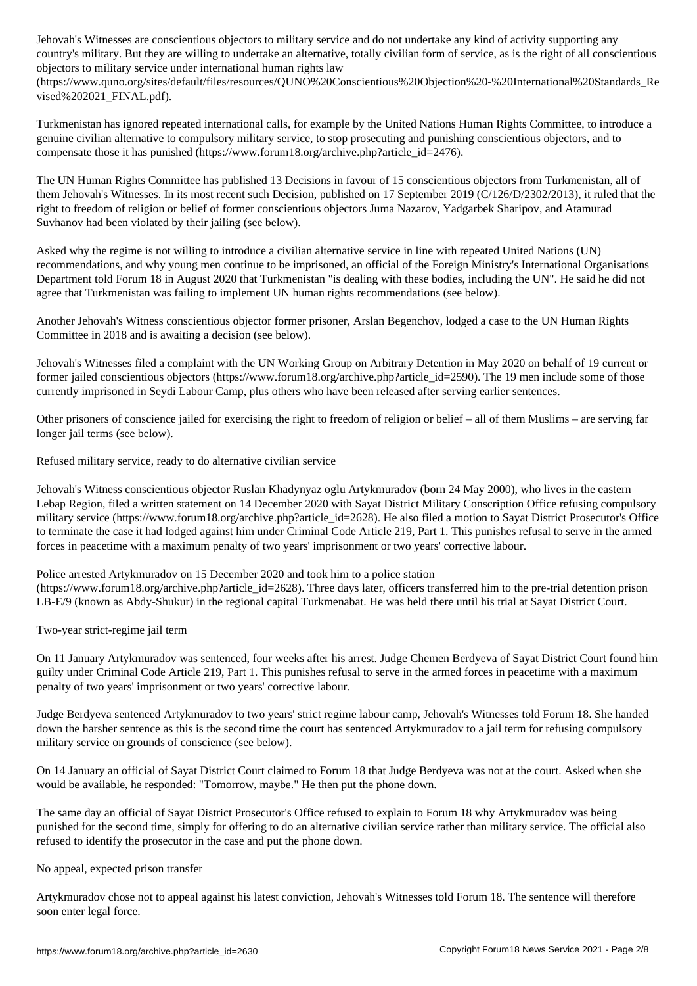country's military. But they are willing to undertake an alternative, totally civilian form of service, as is the right of all conscientious objectors to military service under international human rights law

(https://www.quno.org/sites/default/files/resources/QUNO%20Conscientious%20Objection%20-%20International%20Standards\_Re vised%202021\_FINAL.pdf).

Turkmenistan has ignored repeated international calls, for example by the United Nations Human Rights Committee, to introduce a genuine civilian alternative to compulsory military service, to stop prosecuting and punishing conscientious objectors, and to compensate those it has punished (https://www.forum18.org/archive.php?article\_id=2476).

The UN Human Rights Committee has published 13 Decisions in favour of 15 conscientious objectors from Turkmenistan, all of them Jehovah's Witnesses. In its most recent such Decision, published on 17 September 2019 (C/126/D/2302/2013), it ruled that the right to freedom of religion or belief of former conscientious objectors Juma Nazarov, Yadgarbek Sharipov, and Atamurad Suvhanov had been violated by their jailing (see below).

Asked why the regime is not willing to introduce a civilian alternative service in line with repeated United Nations (UN) recommendations, and why young men continue to be imprisoned, an official of the Foreign Ministry's International Organisations Department told Forum 18 in August 2020 that Turkmenistan "is dealing with these bodies, including the UN". He said he did not agree that Turkmenistan was failing to implement UN human rights recommendations (see below).

Another Jehovah's Witness conscientious objector former prisoner, Arslan Begenchov, lodged a case to the UN Human Rights Committee in 2018 and is awaiting a decision (see below).

Jehovah's Witnesses filed a complaint with the UN Working Group on Arbitrary Detention in May 2020 on behalf of 19 current or former jailed conscientious objectors (https://www.forum18.org/archive.php?article\_id=2590). The 19 men include some of those currently imprisoned in Seydi Labour Camp, plus others who have been released after serving earlier sentences.

Other prisoners of conscience jailed for exercising the right to freedom of religion or belief – all of them Muslims – are serving far longer jail terms (see below).

Refused military service, ready to do alternative civilian service

Jehovah's Witness conscientious objector Ruslan Khadynyaz oglu Artykmuradov (born 24 May 2000), who lives in the eastern Lebap Region, filed a written statement on 14 December 2020 with Sayat District Military Conscription Office refusing compulsory military service (https://www.forum18.org/archive.php?article\_id=2628). He also filed a motion to Sayat District Prosecutor's Office to terminate the case it had lodged against him under Criminal Code Article 219, Part 1. This punishes refusal to serve in the armed forces in peacetime with a maximum penalty of two years' imprisonment or two years' corrective labour.

Police arrested Artykmuradov on 15 December 2020 and took him to a police station (https://www.forum18.org/archive.php?article\_id=2628). Three days later, officers transferred him to the pre-trial detention prison LB-E/9 (known as Abdy-Shukur) in the regional capital Turkmenabat. He was held there until his trial at Sayat District Court.

Two-year strict-regime jail term

On 11 January Artykmuradov was sentenced, four weeks after his arrest. Judge Chemen Berdyeva of Sayat District Court found him guilty under Criminal Code Article 219, Part 1. This punishes refusal to serve in the armed forces in peacetime with a maximum penalty of two years' imprisonment or two years' corrective labour.

Judge Berdyeva sentenced Artykmuradov to two years' strict regime labour camp, Jehovah's Witnesses told Forum 18. She handed down the harsher sentence as this is the second time the court has sentenced Artykmuradov to a jail term for refusing compulsory military service on grounds of conscience (see below).

On 14 January an official of Sayat District Court claimed to Forum 18 that Judge Berdyeva was not at the court. Asked when she would be available, he responded: "Tomorrow, maybe." He then put the phone down.

The same day an official of Sayat District Prosecutor's Office refused to explain to Forum 18 why Artykmuradov was being punished for the second time, simply for offering to do an alternative civilian service rather than military service. The official also refused to identify the prosecutor in the case and put the phone down.

## No appeal, expected prison transfer

Artykmuradov chose not to appeal against his latest conviction, Jehovah's Witnesses told Forum 18. The sentence will therefore soon enter legal force.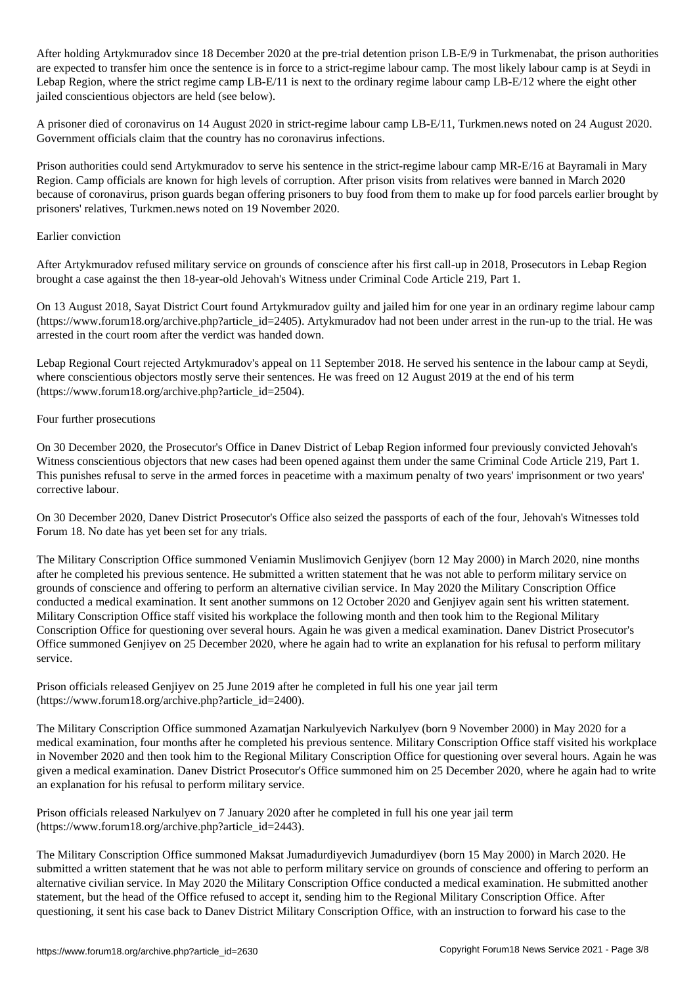After holding Artykmuradov since 18 December 2020 at the pre-trial detention prison LB-E/9 in Turkmenabat, the prison authorities are expected to transfer him once the sentence is in force to a strict-regime labour camp. The most likely labour camp is at Seydi in Lebap Region, where the strict regime camp LB-E/11 is next to the ordinary regime labour camp LB-E/12 where the eight other jailed conscientious objectors are held (see below).

A prisoner died of coronavirus on 14 August 2020 in strict-regime labour camp LB-E/11, Turkmen.news noted on 24 August 2020. Government officials claim that the country has no coronavirus infections.

Prison authorities could send Artykmuradov to serve his sentence in the strict-regime labour camp MR-E/16 at Bayramali in Mary Region. Camp officials are known for high levels of corruption. After prison visits from relatives were banned in March 2020 because of coronavirus, prison guards began offering prisoners to buy food from them to make up for food parcels earlier brought by prisoners' relatives, Turkmen.news noted on 19 November 2020.

## Earlier conviction

After Artykmuradov refused military service on grounds of conscience after his first call-up in 2018, Prosecutors in Lebap Region brought a case against the then 18-year-old Jehovah's Witness under Criminal Code Article 219, Part 1.

On 13 August 2018, Sayat District Court found Artykmuradov guilty and jailed him for one year in an ordinary regime labour camp (https://www.forum18.org/archive.php?article\_id=2405). Artykmuradov had not been under arrest in the run-up to the trial. He was arrested in the court room after the verdict was handed down.

Lebap Regional Court rejected Artykmuradov's appeal on 11 September 2018. He served his sentence in the labour camp at Seydi, where conscientious objectors mostly serve their sentences. He was freed on 12 August 2019 at the end of his term (https://www.forum18.org/archive.php?article\_id=2504).

#### Four further prosecutions

On 30 December 2020, the Prosecutor's Office in Danev District of Lebap Region informed four previously convicted Jehovah's Witness conscientious objectors that new cases had been opened against them under the same Criminal Code Article 219, Part 1. This punishes refusal to serve in the armed forces in peacetime with a maximum penalty of two years' imprisonment or two years' corrective labour.

On 30 December 2020, Danev District Prosecutor's Office also seized the passports of each of the four, Jehovah's Witnesses told Forum 18. No date has yet been set for any trials.

The Military Conscription Office summoned Veniamin Muslimovich Genjiyev (born 12 May 2000) in March 2020, nine months after he completed his previous sentence. He submitted a written statement that he was not able to perform military service on grounds of conscience and offering to perform an alternative civilian service. In May 2020 the Military Conscription Office conducted a medical examination. It sent another summons on 12 October 2020 and Genjiyev again sent his written statement. Military Conscription Office staff visited his workplace the following month and then took him to the Regional Military Conscription Office for questioning over several hours. Again he was given a medical examination. Danev District Prosecutor's Office summoned Genjiyev on 25 December 2020, where he again had to write an explanation for his refusal to perform military service.

Prison officials released Genjiyev on 25 June 2019 after he completed in full his one year jail term (https://www.forum18.org/archive.php?article\_id=2400).

The Military Conscription Office summoned Azamatjan Narkulyevich Narkulyev (born 9 November 2000) in May 2020 for a medical examination, four months after he completed his previous sentence. Military Conscription Office staff visited his workplace in November 2020 and then took him to the Regional Military Conscription Office for questioning over several hours. Again he was given a medical examination. Danev District Prosecutor's Office summoned him on 25 December 2020, where he again had to write an explanation for his refusal to perform military service.

Prison officials released Narkulyev on 7 January 2020 after he completed in full his one year jail term (https://www.forum18.org/archive.php?article\_id=2443).

The Military Conscription Office summoned Maksat Jumadurdiyevich Jumadurdiyev (born 15 May 2000) in March 2020. He submitted a written statement that he was not able to perform military service on grounds of conscience and offering to perform an alternative civilian service. In May 2020 the Military Conscription Office conducted a medical examination. He submitted another statement, but the head of the Office refused to accept it, sending him to the Regional Military Conscription Office. After questioning, it sent his case back to Danev District Military Conscription Office, with an instruction to forward his case to the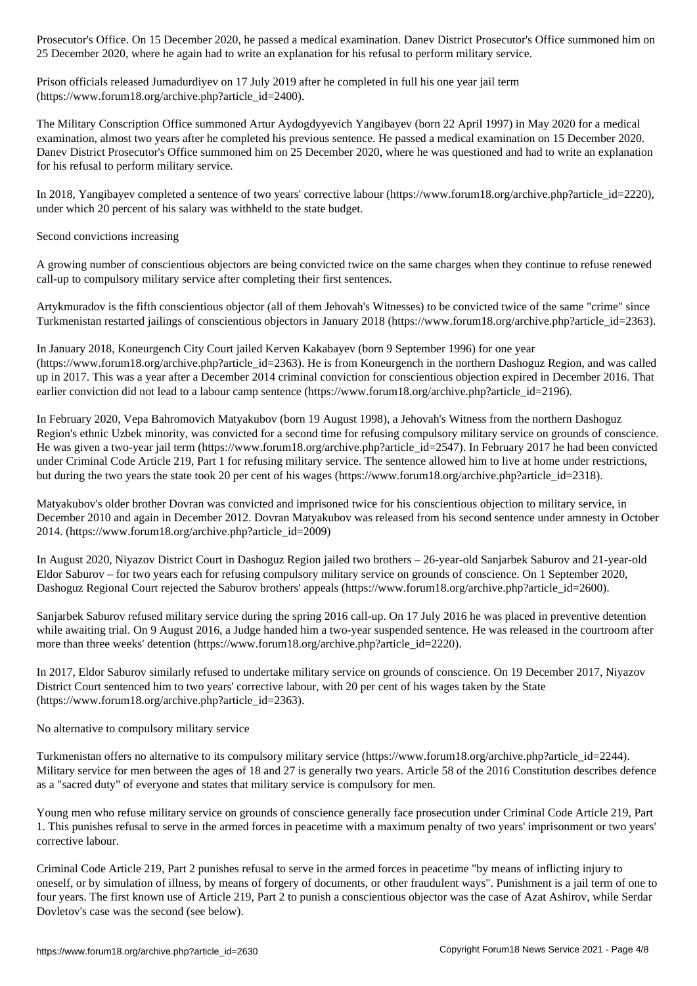25 December 2020, where he again had to write an explanation for his refusal to perform military service.

Prison officials released Jumadurdiyev on 17 July 2019 after he completed in full his one year jail term (https://www.forum18.org/archive.php?article\_id=2400).

The Military Conscription Office summoned Artur Aydogdyyevich Yangibayev (born 22 April 1997) in May 2020 for a medical examination, almost two years after he completed his previous sentence. He passed a medical examination on 15 December 2020. Danev District Prosecutor's Office summoned him on 25 December 2020, where he was questioned and had to write an explanation for his refusal to perform military service.

In 2018, Yangibayev completed a sentence of two years' corrective labour (https://www.forum18.org/archive.php?article\_id=2220), under which 20 percent of his salary was withheld to the state budget.

# Second convictions increasing

A growing number of conscientious objectors are being convicted twice on the same charges when they continue to refuse renewed call-up to compulsory military service after completing their first sentences.

Artykmuradov is the fifth conscientious objector (all of them Jehovah's Witnesses) to be convicted twice of the same "crime" since Turkmenistan restarted jailings of conscientious objectors in January 2018 (https://www.forum18.org/archive.php?article\_id=2363).

In January 2018, Koneurgench City Court jailed Kerven Kakabayev (born 9 September 1996) for one year (https://www.forum18.org/archive.php?article\_id=2363). He is from Koneurgench in the northern Dashoguz Region, and was called up in 2017. This was a year after a December 2014 criminal conviction for conscientious objection expired in December 2016. That earlier conviction did not lead to a labour camp sentence (https://www.forum18.org/archive.php?article\_id=2196).

In February 2020, Vepa Bahromovich Matyakubov (born 19 August 1998), a Jehovah's Witness from the northern Dashoguz Region's ethnic Uzbek minority, was convicted for a second time for refusing compulsory military service on grounds of conscience. He was given a two-year jail term (https://www.forum18.org/archive.php?article\_id=2547). In February 2017 he had been convicted under Criminal Code Article 219, Part 1 for refusing military service. The sentence allowed him to live at home under restrictions, but during the two years the state took 20 per cent of his wages (https://www.forum18.org/archive.php?article\_id=2318).

Matyakubov's older brother Dovran was convicted and imprisoned twice for his conscientious objection to military service, in December 2010 and again in December 2012. Dovran Matyakubov was released from his second sentence under amnesty in October 2014. (https://www.forum18.org/archive.php?article\_id=2009)

In August 2020, Niyazov District Court in Dashoguz Region jailed two brothers – 26-year-old Sanjarbek Saburov and 21-year-old Eldor Saburov – for two years each for refusing compulsory military service on grounds of conscience. On 1 September 2020, Dashoguz Regional Court rejected the Saburov brothers' appeals (https://www.forum18.org/archive.php?article\_id=2600).

Sanjarbek Saburov refused military service during the spring 2016 call-up. On 17 July 2016 he was placed in preventive detention while awaiting trial. On 9 August 2016, a Judge handed him a two-year suspended sentence. He was released in the courtroom after more than three weeks' detention (https://www.forum18.org/archive.php?article\_id=2220).

In 2017, Eldor Saburov similarly refused to undertake military service on grounds of conscience. On 19 December 2017, Niyazov District Court sentenced him to two years' corrective labour, with 20 per cent of his wages taken by the State (https://www.forum18.org/archive.php?article\_id=2363).

#### No alternative to compulsory military service

Turkmenistan offers no alternative to its compulsory military service (https://www.forum18.org/archive.php?article\_id=2244). Military service for men between the ages of 18 and 27 is generally two years. Article 58 of the 2016 Constitution describes defence as a "sacred duty" of everyone and states that military service is compulsory for men.

Young men who refuse military service on grounds of conscience generally face prosecution under Criminal Code Article 219, Part 1. This punishes refusal to serve in the armed forces in peacetime with a maximum penalty of two years' imprisonment or two years' corrective labour.

Criminal Code Article 219, Part 2 punishes refusal to serve in the armed forces in peacetime "by means of inflicting injury to oneself, or by simulation of illness, by means of forgery of documents, or other fraudulent ways". Punishment is a jail term of one to four years. The first known use of Article 219, Part 2 to punish a conscientious objector was the case of Azat Ashirov, while Serdar Dovletov's case was the second (see below).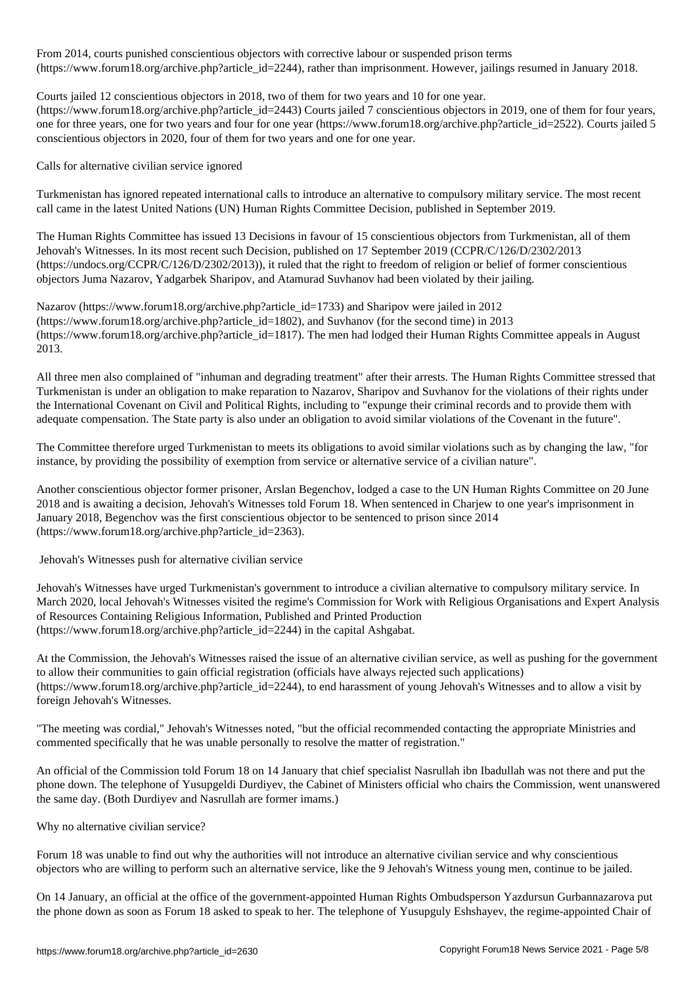From 2014, conseil conscientious objective labour or suspended principal prison terms of  $\mathbf{r}$ (https://www.forum18.org/archive.php?article\_id=2244), rather than imprisonment. However, jailings resumed in January 2018.

Courts jailed 12 conscientious objectors in 2018, two of them for two years and 10 for one year.

(https://www.forum18.org/archive.php?article\_id=2443) Courts jailed 7 conscientious objectors in 2019, one of them for four years, one for three years, one for two years and four for one year (https://www.forum18.org/archive.php?article\_id=2522). Courts jailed 5 conscientious objectors in 2020, four of them for two years and one for one year.

Calls for alternative civilian service ignored

Turkmenistan has ignored repeated international calls to introduce an alternative to compulsory military service. The most recent call came in the latest United Nations (UN) Human Rights Committee Decision, published in September 2019.

The Human Rights Committee has issued 13 Decisions in favour of 15 conscientious objectors from Turkmenistan, all of them Jehovah's Witnesses. In its most recent such Decision, published on 17 September 2019 (CCPR/C/126/D/2302/2013 (https://undocs.org/CCPR/C/126/D/2302/2013)), it ruled that the right to freedom of religion or belief of former conscientious objectors Juma Nazarov, Yadgarbek Sharipov, and Atamurad Suvhanov had been violated by their jailing.

Nazarov (https://www.forum18.org/archive.php?article\_id=1733) and Sharipov were jailed in 2012 (https://www.forum18.org/archive.php?article\_id=1802), and Suvhanov (for the second time) in 2013 (https://www.forum18.org/archive.php?article\_id=1817). The men had lodged their Human Rights Committee appeals in August 2013.

All three men also complained of "inhuman and degrading treatment" after their arrests. The Human Rights Committee stressed that Turkmenistan is under an obligation to make reparation to Nazarov, Sharipov and Suvhanov for the violations of their rights under the International Covenant on Civil and Political Rights, including to "expunge their criminal records and to provide them with adequate compensation. The State party is also under an obligation to avoid similar violations of the Covenant in the future".

The Committee therefore urged Turkmenistan to meets its obligations to avoid similar violations such as by changing the law, "for instance, by providing the possibility of exemption from service or alternative service of a civilian nature".

Another conscientious objector former prisoner, Arslan Begenchov, lodged a case to the UN Human Rights Committee on 20 June 2018 and is awaiting a decision, Jehovah's Witnesses told Forum 18. When sentenced in Charjew to one year's imprisonment in January 2018, Begenchov was the first conscientious objector to be sentenced to prison since 2014 (https://www.forum18.org/archive.php?article\_id=2363).

Jehovah's Witnesses push for alternative civilian service

Jehovah's Witnesses have urged Turkmenistan's government to introduce a civilian alternative to compulsory military service. In March 2020, local Jehovah's Witnesses visited the regime's Commission for Work with Religious Organisations and Expert Analysis of Resources Containing Religious Information, Published and Printed Production (https://www.forum18.org/archive.php?article\_id=2244) in the capital Ashgabat.

At the Commission, the Jehovah's Witnesses raised the issue of an alternative civilian service, as well as pushing for the government to allow their communities to gain official registration (officials have always rejected such applications) (https://www.forum18.org/archive.php?article\_id=2244), to end harassment of young Jehovah's Witnesses and to allow a visit by foreign Jehovah's Witnesses.

"The meeting was cordial," Jehovah's Witnesses noted, "but the official recommended contacting the appropriate Ministries and commented specifically that he was unable personally to resolve the matter of registration."

An official of the Commission told Forum 18 on 14 January that chief specialist Nasrullah ibn Ibadullah was not there and put the phone down. The telephone of Yusupgeldi Durdiyev, the Cabinet of Ministers official who chairs the Commission, went unanswered the same day. (Both Durdiyev and Nasrullah are former imams.)

Why no alternative civilian service?

Forum 18 was unable to find out why the authorities will not introduce an alternative civilian service and why conscientious objectors who are willing to perform such an alternative service, like the 9 Jehovah's Witness young men, continue to be jailed.

On 14 January, an official at the office of the government-appointed Human Rights Ombudsperson Yazdursun Gurbannazarova put the phone down as soon as Forum 18 asked to speak to her. The telephone of Yusupguly Eshshayev, the regime-appointed Chair of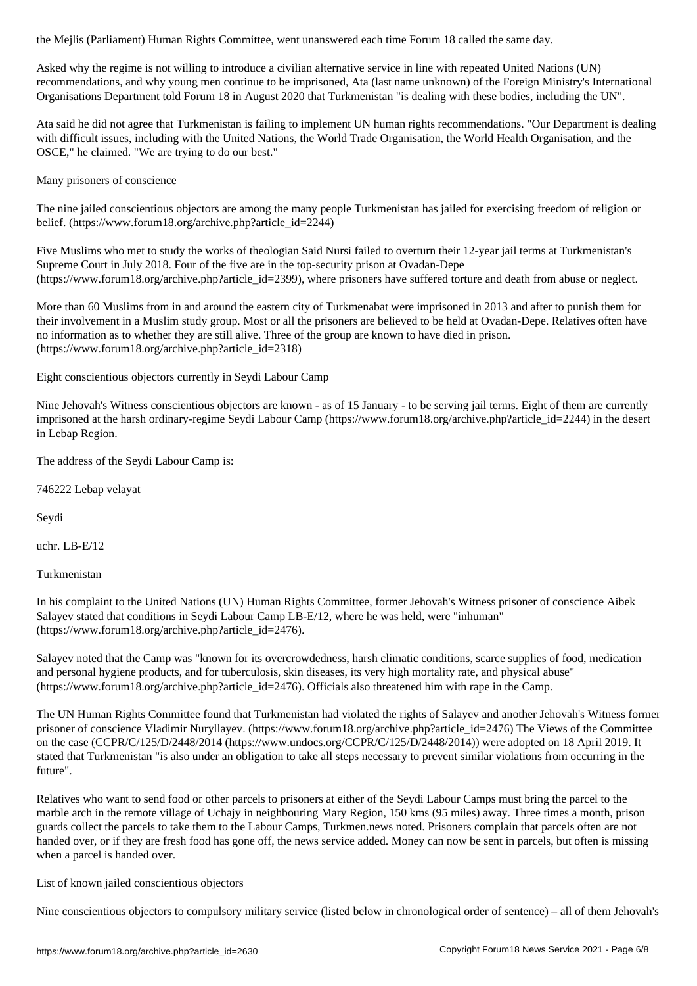Asked why the regime is not willing to introduce a civilian alternative service in line with repeated United Nations (UN) recommendations, and why young men continue to be imprisoned, Ata (last name unknown) of the Foreign Ministry's International Organisations Department told Forum 18 in August 2020 that Turkmenistan "is dealing with these bodies, including the UN".

Ata said he did not agree that Turkmenistan is failing to implement UN human rights recommendations. "Our Department is dealing with difficult issues, including with the United Nations, the World Trade Organisation, the World Health Organisation, and the OSCE," he claimed. "We are trying to do our best."

Many prisoners of conscience

The nine jailed conscientious objectors are among the many people Turkmenistan has jailed for exercising freedom of religion or belief. (https://www.forum18.org/archive.php?article\_id=2244)

Five Muslims who met to study the works of theologian Said Nursi failed to overturn their 12-year jail terms at Turkmenistan's Supreme Court in July 2018. Four of the five are in the top-security prison at Ovadan-Depe (https://www.forum18.org/archive.php?article\_id=2399), where prisoners have suffered torture and death from abuse or neglect.

More than 60 Muslims from in and around the eastern city of Turkmenabat were imprisoned in 2013 and after to punish them for their involvement in a Muslim study group. Most or all the prisoners are believed to be held at Ovadan-Depe. Relatives often have no information as to whether they are still alive. Three of the group are known to have died in prison. (https://www.forum18.org/archive.php?article\_id=2318)

Eight conscientious objectors currently in Seydi Labour Camp

Nine Jehovah's Witness conscientious objectors are known - as of 15 January - to be serving jail terms. Eight of them are currently imprisoned at the harsh ordinary-regime Seydi Labour Camp (https://www.forum18.org/archive.php?article\_id=2244) in the desert in Lebap Region.

The address of the Seydi Labour Camp is:

746222 Lebap velayat

Seydi

uchr. LB-E/12

Turkmenistan

In his complaint to the United Nations (UN) Human Rights Committee, former Jehovah's Witness prisoner of conscience Aibek Salayev stated that conditions in Seydi Labour Camp LB-E/12, where he was held, were "inhuman" (https://www.forum18.org/archive.php?article\_id=2476).

Salayev noted that the Camp was "known for its overcrowdedness, harsh climatic conditions, scarce supplies of food, medication and personal hygiene products, and for tuberculosis, skin diseases, its very high mortality rate, and physical abuse" (https://www.forum18.org/archive.php?article\_id=2476). Officials also threatened him with rape in the Camp.

The UN Human Rights Committee found that Turkmenistan had violated the rights of Salayev and another Jehovah's Witness former prisoner of conscience Vladimir Nuryllayev. (https://www.forum18.org/archive.php?article\_id=2476) The Views of the Committee on the case (CCPR/C/125/D/2448/2014 (https://www.undocs.org/CCPR/C/125/D/2448/2014)) were adopted on 18 April 2019. It stated that Turkmenistan "is also under an obligation to take all steps necessary to prevent similar violations from occurring in the future".

Relatives who want to send food or other parcels to prisoners at either of the Seydi Labour Camps must bring the parcel to the marble arch in the remote village of Uchajy in neighbouring Mary Region, 150 kms (95 miles) away. Three times a month, prison guards collect the parcels to take them to the Labour Camps, Turkmen.news noted. Prisoners complain that parcels often are not handed over, or if they are fresh food has gone off, the news service added. Money can now be sent in parcels, but often is missing when a parcel is handed over.

List of known jailed conscientious objectors

Nine conscientious objectors to compulsory military service (listed below in chronological order of sentence) – all of them Jehovah's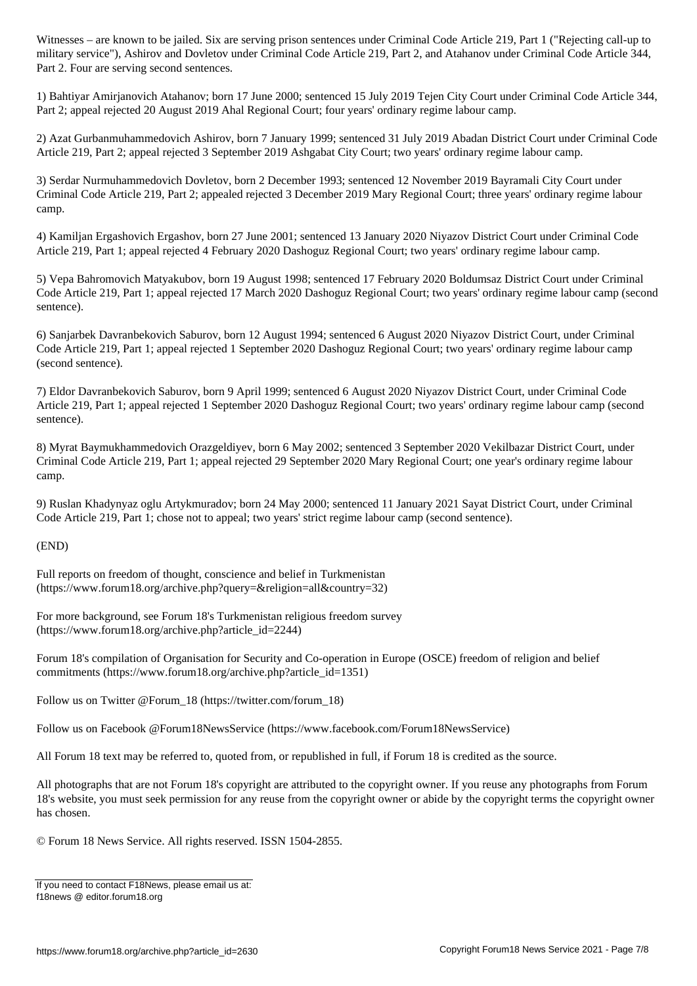, Ashirov and Dovletov under Criminal Code Article 219, Part 2, and Atahanov under Criminal Code Article 344, Part 2, and Atahanov under Criminal Code Article 344, Part 2, and Atahanov under Criminal Code Article 344, Par Part 2. Four are serving second sentences.

1) Bahtiyar Amirjanovich Atahanov; born 17 June 2000; sentenced 15 July 2019 Tejen City Court under Criminal Code Article 344, Part 2; appeal rejected 20 August 2019 Ahal Regional Court; four years' ordinary regime labour camp.

2) Azat Gurbanmuhammedovich Ashirov, born 7 January 1999; sentenced 31 July 2019 Abadan District Court under Criminal Code Article 219, Part 2; appeal rejected 3 September 2019 Ashgabat City Court; two years' ordinary regime labour camp.

3) Serdar Nurmuhammedovich Dovletov, born 2 December 1993; sentenced 12 November 2019 Bayramali City Court under Criminal Code Article 219, Part 2; appealed rejected 3 December 2019 Mary Regional Court; three years' ordinary regime labour camp.

4) Kamiljan Ergashovich Ergashov, born 27 June 2001; sentenced 13 January 2020 Niyazov District Court under Criminal Code Article 219, Part 1; appeal rejected 4 February 2020 Dashoguz Regional Court; two years' ordinary regime labour camp.

5) Vepa Bahromovich Matyakubov, born 19 August 1998; sentenced 17 February 2020 Boldumsaz District Court under Criminal Code Article 219, Part 1; appeal rejected 17 March 2020 Dashoguz Regional Court; two years' ordinary regime labour camp (second sentence).

6) Sanjarbek Davranbekovich Saburov, born 12 August 1994; sentenced 6 August 2020 Niyazov District Court, under Criminal Code Article 219, Part 1; appeal rejected 1 September 2020 Dashoguz Regional Court; two years' ordinary regime labour camp (second sentence).

7) Eldor Davranbekovich Saburov, born 9 April 1999; sentenced 6 August 2020 Niyazov District Court, under Criminal Code Article 219, Part 1; appeal rejected 1 September 2020 Dashoguz Regional Court; two years' ordinary regime labour camp (second sentence).

8) Myrat Baymukhammedovich Orazgeldiyev, born 6 May 2002; sentenced 3 September 2020 Vekilbazar District Court, under Criminal Code Article 219, Part 1; appeal rejected 29 September 2020 Mary Regional Court; one year's ordinary regime labour camp.

9) Ruslan Khadynyaz oglu Artykmuradov; born 24 May 2000; sentenced 11 January 2021 Sayat District Court, under Criminal Code Article 219, Part 1; chose not to appeal; two years' strict regime labour camp (second sentence).

(END)

Full reports on freedom of thought, conscience and belief in Turkmenistan (https://www.forum18.org/archive.php?query=&religion=all&country=32)

For more background, see Forum 18's Turkmenistan religious freedom survey (https://www.forum18.org/archive.php?article\_id=2244)

Forum 18's compilation of Organisation for Security and Co-operation in Europe (OSCE) freedom of religion and belief commitments (https://www.forum18.org/archive.php?article\_id=1351)

Follow us on Twitter @Forum\_18 (https://twitter.com/forum\_18)

Follow us on Facebook @Forum18NewsService (https://www.facebook.com/Forum18NewsService)

All Forum 18 text may be referred to, quoted from, or republished in full, if Forum 18 is credited as the source.

All photographs that are not Forum 18's copyright are attributed to the copyright owner. If you reuse any photographs from Forum 18's website, you must seek permission for any reuse from the copyright owner or abide by the copyright terms the copyright owner has chosen.

© Forum 18 News Service. All rights reserved. ISSN 1504-2855.

If you need to contact F18News, please email us at: f18news @ editor.forum18.org